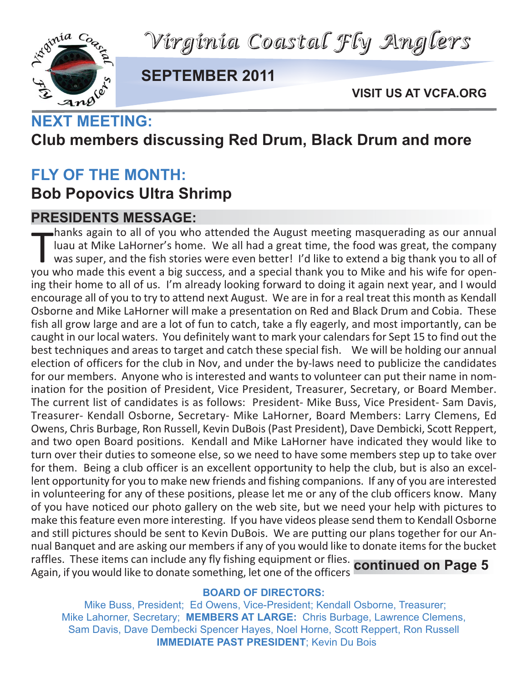*Virginia Coastal Fly Anglers*



**SEPTEMBER 2011**

**VISIT US AT VCFA.ORG**

# **Club members discussing Red Drum, Black Drum and more**

### **FLY OF THE MONTH:**

### **Bob Popovics Ultra Shrimp**

#### **PRESIDENTS MESSAGE:**

hanks again to all of you who attended the August meeting masquerading as our annual<br>luau at Mike LaHorner's home. We all had a great time, the food was great, the company<br>was super, and the fish stories were even better! hanks again to all of you who attended the August meeting masquerading as our annual luau at Mike LaHorner's home. We all had a great time, the food was great, the company was super, and the fish stories were even better! I'd like to extend a big thank you to all of ing their home to all of us. I'm already looking forward to doing it again next year, and I would encourage all of you to try to attend next August. We are in for a real treat this month as Kendall Osborne and Mike LaHorner will make a presentation on Red and Black Drum and Cobia. These fish all grow large and are a lot of fun to catch, take a fly eagerly, and most importantly, can be caught in our local waters. You definitely want to mark your calendars for Sept 15 to find out the best techniques and areas to target and catch these special fish. We will be holding our annual election of officers for the club in Nov, and under the by‐laws need to publicize the candidates for our members. Anyone who is interested and wants to volunteer can put their name in nom‐ ination for the position of President, Vice President, Treasurer, Secretary, or Board Member. The current list of candidates is as follows: President‐ Mike Buss, Vice President‐ Sam Davis, Treasurer‐ Kendall Osborne, Secretary‐ Mike LaHorner, Board Members: Larry Clemens, Ed Owens, Chris Burbage, Ron Russell, Kevin DuBois (Past President), Dave Dembicki, Scott Reppert, and two open Board positions. Kendall and Mike LaHorner have indicated they would like to turn over their duties to someone else, so we need to have some members step up to take over for them. Being a club officer is an excellent opportunity to help the club, but is also an excellent opportunity for you to make new friends and fishing companions. If any of you are interested in volunteering for any of these positions, please let me or any of the club officers know. Many of you have noticed our photo gallery on the web site, but we need your help with pictures to make this feature even more interesting. If you have videos please send them to Kendall Osborne and still pictures should be sent to Kevin DuBois. We are putting our plans together for our Annual Banquet and are asking our members if any of you would like to donate items for the bucket raffles. These items can include any fly fishing equipment or flies. Again, if you would like to donate something, let one of the officers **continued on Page 5**

#### **BOARD OF DIRECTORS:**

Mike Buss, President; Ed Owens, Vice-President; Kendall Osborne, Treasurer; Mike Lahorner, Secretary; **MEMBERS AT LARGE:** Chris Burbage, Lawrence Clemens, Sam Davis, Dave Dembecki Spencer Hayes, Noel Horne, Scott Reppert, Ron Russell **IMMEDIATE PAST PRESIDENT**; Kevin Du Bois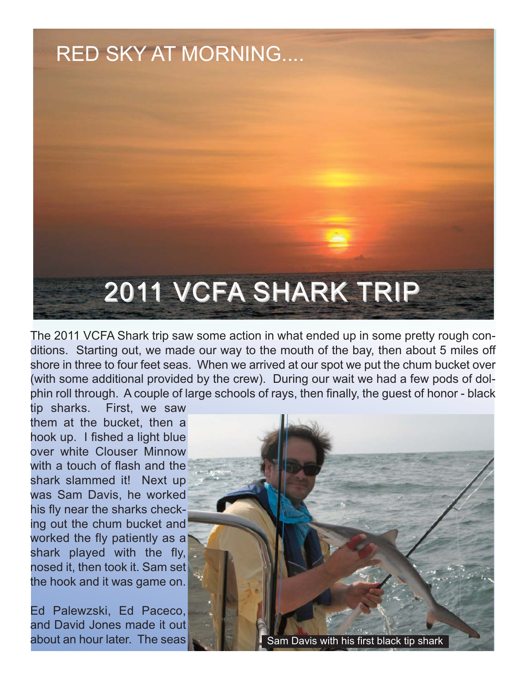

The 2011 VCFA Shark trip saw some action in what ended up in some pretty rough conditions. Starting out, we made our way to the mouth of the bay, then about 5 miles off shore in three to four feet seas. When we arrived at our spot we put the chum bucket over (with some additional provided by the crew). During our wait we had a few pods of dolphin roll through. A couple of large schools of rays, then finally, the guest of honor - black

tip sharks. First, we saw them at the bucket, then a hook up. I fished a light blue over white Clouser Minnow with a touch of flash and the shark slammed it! Next up was Sam Davis, he worked his fly near the sharks checking out the chum bucket and worked the fly patiently as a shark played with the fly, nosed it, then took it. Sam set the hook and it was game on.

Ed Palewzski, Ed Paceco, and David Jones made it out

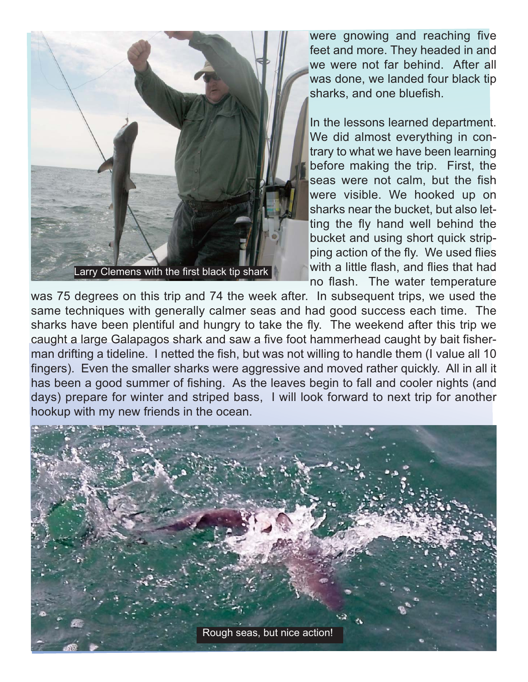

were gnowing and reaching five feet and more. They headed in and we were not far behind. After all was done, we landed four black tip sharks, and one bluefish.

In the lessons learned department. We did almost everything in contrary to what we have been learning before making the trip. First, the seas were not calm, but the fish were visible. We hooked up on sharks near the bucket, but also letting the fly hand well behind the bucket and using short quick stripping action of the fly. We used flies with a little flash, and flies that had no flash. The water temperature

was 75 degrees on this trip and 74 the week after. In subsequent trips, we used the same techniques with generally calmer seas and had good success each time. The sharks have been plentiful and hungry to take the fly. The weekend after this trip we caught a large Galapagos shark and saw a five foot hammerhead caught by bait fisherman drifting a tideline. I netted the fish, but was not willing to handle them (I value all 10 fingers). Even the smaller sharks were aggressive and moved rather quickly. All in all it has been a good summer of fishing. As the leaves begin to fall and cooler nights (and days) prepare for winter and striped bass, I will look forward to next trip for another hookup with my new friends in the ocean. 

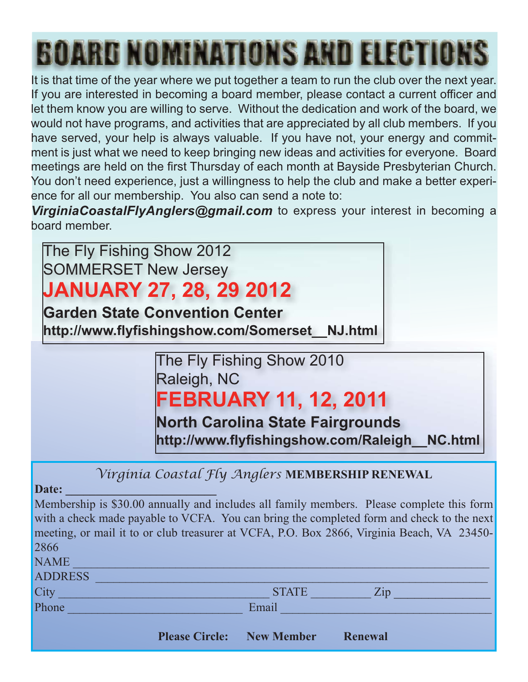# **BOARD NOMINATIONS AND ELECTIONS**

It is that time of the year where we put together a team to run the club over the next year. If you are interested in becoming a board member, please contact a current officer and let them know you are willing to serve. Without the dedication and work of the board, we would not have programs, and activities that are appreciated by all club members. If you have served, your help is always valuable. If you have not, your energy and commitment is just what we need to keep bringing new ideas and activities for everyone. Board meetings are held on the first Thursday of each month at Bayside Presbyterian Church. You don't need experience, just a willingness to help the club and make a better experience for all our membership. You also can send a note to:

*VirginiaCoastalFlyAnglers@gmail.com* to express your interest in becoming a board member.

The Fly Fishing Show 2012 SOMMERSET New Jersey

## **JANUARY 27, 28, 29 2012**

**Garden State Convention Center http://www.flyfishingshow.com/Somerset\_\_NJ.html**

> The Fly Fishing Show 2010 Raleigh, NC **FEBRUARY 11, 12, 2011**

**North Carolina State Fairgrounds http://www.flyfishingshow.com/Raleigh\_\_NC.html**

*Virginia Coastal Fly Anglers* **MEMBERSHIP RENEWAL**

Date:

Membership is \$30.00 annually and includes all family members. Please complete this form with a check made payable to VCFA. You can bring the completed form and check to the next meeting, or mail it to or club treasurer at VCFA, P.O. Box 2866, Virginia Beach, VA 23450- 2866 NAME \_\_\_\_\_\_\_\_\_\_\_\_\_\_\_\_\_\_\_\_\_\_\_\_\_\_\_\_\_\_\_\_\_\_\_\_\_\_\_\_\_\_\_\_\_\_\_\_\_\_\_\_\_\_\_\_\_\_\_\_\_\_\_\_\_\_\_\_\_

| 1 |  | M. |  |  |
|---|--|----|--|--|
|---|--|----|--|--|

ADDRESS \_\_\_\_\_\_\_\_\_\_\_\_\_\_\_\_\_\_\_\_\_\_\_\_\_\_\_\_\_\_\_\_\_\_\_\_\_\_\_\_\_\_\_\_\_\_\_\_\_\_\_\_\_\_\_\_\_\_\_\_\_\_\_\_\_

City \_\_\_\_\_\_\_\_\_\_\_\_\_\_\_\_\_\_\_\_\_\_\_\_\_\_\_\_\_\_\_\_\_\_\_ STATE \_\_\_\_\_\_\_\_\_\_ Zip \_\_\_\_\_\_\_\_\_\_\_\_\_\_

Phone \_\_\_\_\_\_\_\_\_\_\_\_\_\_\_\_\_\_\_\_\_\_\_\_\_\_\_\_\_ Email \_\_\_\_\_\_\_\_\_\_\_\_\_\_\_\_\_\_\_\_\_\_\_\_\_\_\_\_\_\_\_\_\_\_\_

**Please Circle: New Member Renewal**